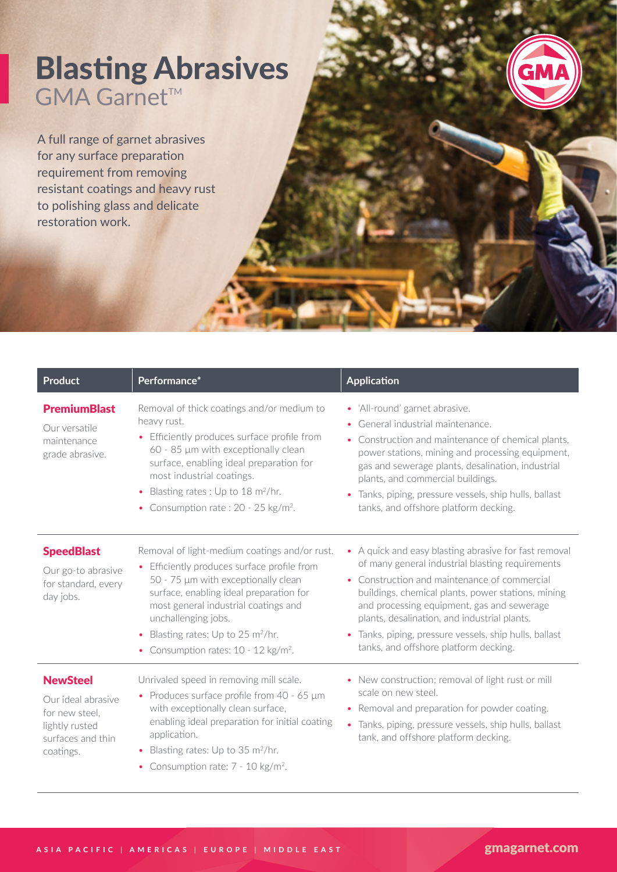## Blasting Abrasives GMA Garnet™

A full range of garnet abrasives for any surface preparation requirement from removing resistant coatings and heavy rust to polishing glass and delicate restoration work.

| <b>Product</b>                                                                                              | Performance*                                                                                                                                                                                                                                                                                                                                          | <b>Application</b>                                                                                                                                                                                                                                                                                                                                                                                               |
|-------------------------------------------------------------------------------------------------------------|-------------------------------------------------------------------------------------------------------------------------------------------------------------------------------------------------------------------------------------------------------------------------------------------------------------------------------------------------------|------------------------------------------------------------------------------------------------------------------------------------------------------------------------------------------------------------------------------------------------------------------------------------------------------------------------------------------------------------------------------------------------------------------|
| <b>PremiumBlast</b><br>Our versatile<br>maintenance<br>grade abrasive.                                      | Removal of thick coatings and/or medium to<br>heavy rust.<br>• Efficiently produces surface profile from<br>60 - 85 µm with exceptionally clean<br>surface, enabling ideal preparation for<br>most industrial coatings.<br>Blasting rates : Up to 18 m <sup>2</sup> /hr.<br>$\bullet$<br>Consumption rate: 20 - 25 kg/m <sup>2</sup> .<br>$\bullet$   | • 'All-round' garnet abrasive.<br>General industrial maintenance.<br>Construction and maintenance of chemical plants,<br>power stations, mining and processing equipment,<br>gas and sewerage plants, desalination, industrial<br>plants, and commercial buildings.<br>Tanks, piping, pressure vessels, ship hulls, ballast<br>tanks, and offshore platform decking.                                             |
| <b>SpeedBlast</b><br>Our go-to abrasive<br>for standard, every<br>day jobs.                                 | Removal of light-medium coatings and/or rust.<br>• Efficiently produces surface profile from<br>50 - 75 µm with exceptionally clean<br>surface, enabling ideal preparation for<br>most general industrial coatings and<br>unchallenging jobs.<br>• Blasting rates: Up to 25 m <sup>2</sup> /hr.<br>• Consumption rates: $10 - 12$ kg/m <sup>2</sup> . | • A quick and easy blasting abrasive for fast removal<br>of many general industrial blasting requirements<br>• Construction and maintenance of commercial<br>buildings, chemical plants, power stations, mining<br>and processing equipment, gas and sewerage<br>plants, desalination, and industrial plants.<br>• Tanks, piping, pressure vessels, ship hulls, ballast<br>tanks, and offshore platform decking. |
| <b>NewSteel</b><br>Our ideal abrasive<br>for new steel.<br>lightly rusted<br>surfaces and thin<br>coatings. | Unrivaled speed in removing mill scale.<br>• Produces surface profile from $40 - 65 \mu m$<br>with exceptionally clean surface,<br>enabling ideal preparation for initial coating<br>application.<br>• Blasting rates: Up to 35 $m^2/hr$ .<br>• Consumption rate: $7 - 10$ kg/m <sup>2</sup> .                                                        | • New construction; removal of light rust or mill<br>scale on new steel.<br>• Removal and preparation for powder coating.<br>• Tanks, piping, pressure vessels, ship hulls, ballast<br>tank, and offshore platform decking.                                                                                                                                                                                      |

GMA